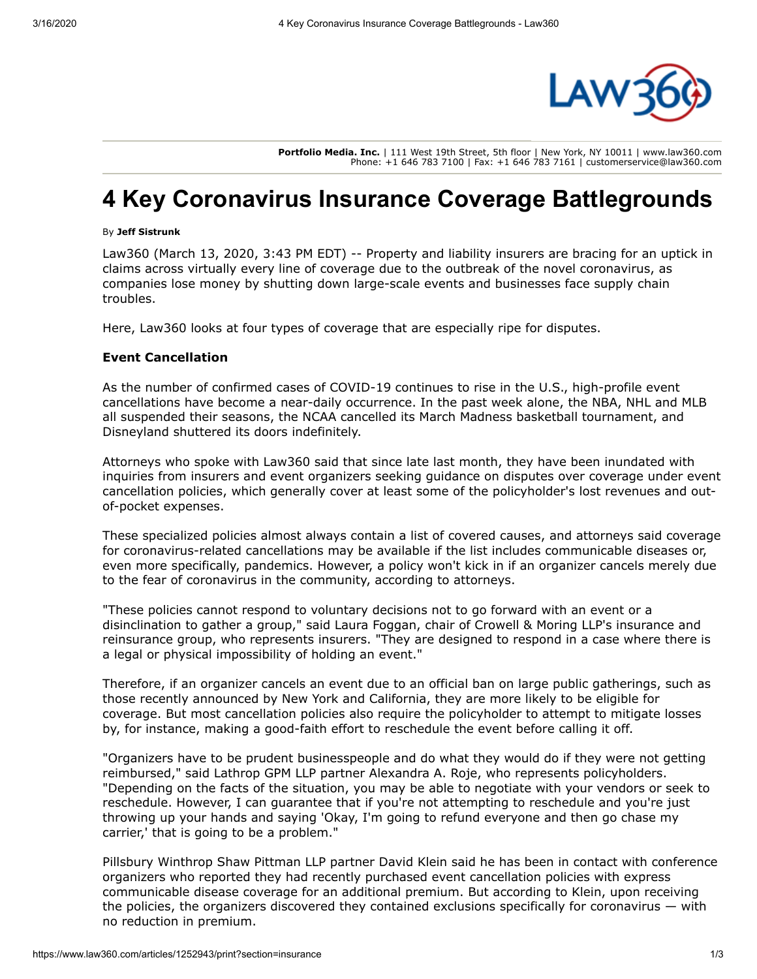

**Portfolio Media. Inc.** | 111 West 19th Street, 5th floor | New York, NY 10011 | www.law360.com Phone: +1 646 783 7100 | Fax: +1 646 783 7161 | customerservice@law360.com

# **4 Key Coronavirus Insurance Coverage Battlegrounds**

#### By **Jeff Sistrunk**

Law360 (March 13, 2020, 3:43 PM EDT) -- Property and liability insurers are bracing for an uptick in claims across virtually every line of coverage due to the outbreak of the novel coronavirus, as companies lose money by shutting down large-scale events and businesses face supply chain troubles.

Here, Law360 looks at four types of coverage that are especially ripe for disputes.

### **Event Cancellation**

As the number of confirmed cases of COVID-19 continues to rise in the U.S., high-profile event cancellations have become a near-daily occurrence. In the past week alone, the NBA, [NHL](https://www.law360.com/companies/national-hockey-league) and [MLB](https://www.law360.com/companies/major-league-baseball-inc) all suspended their seasons, the [NCAA](https://www.law360.com/companies/national-collegiate-athletic-association) cancelled its March Madness basketball tournament, and [Disneyland](https://www.law360.com/companies/walt-disney-parks-resorts-worldwide-inc) shuttered its doors indefinitely.

Attorneys who spoke with Law360 said that since late last month, they have been inundated with inquiries from insurers and event organizers seeking guidance on disputes over coverage under event cancellation policies, which generally cover at least some of the policyholder's lost revenues and outof-pocket expenses.

These specialized policies almost always contain a list of covered causes, and attorneys said coverage for coronavirus-related cancellations may be available if the list includes communicable diseases or, even more specifically, pandemics. However, a policy won't kick in if an organizer cancels merely due to the fear of coronavirus in the community, according to attorneys.

"These policies cannot respond to voluntary decisions not to go forward with an event or a disinclination to gather a group," said Laura Foggan, chair of [Crowell & Moring LLP's](https://www.law360.com/firms/crowell-moring) insurance and reinsurance group, who represents insurers. "They are designed to respond in a case where there is a legal or physical impossibility of holding an event."

Therefore, if an organizer cancels an event due to an official ban on large public gatherings, such as those recently announced by New York and California, they are more likely to be eligible for coverage. But most cancellation policies also require the policyholder to attempt to mitigate losses by, for instance, making a good-faith effort to reschedule the event before calling it off.

"Organizers have to be prudent businesspeople and do what they would do if they were not getting reimbursed," said [Lathrop GPM LLP](https://www.law360.com/firms/lathrop-gpm) partner Alexandra A. Roje, who represents policyholders. "Depending on the facts of the situation, you may be able to negotiate with your vendors or seek to reschedule. However, I can guarantee that if you're not attempting to reschedule and you're just throwing up your hands and saying 'Okay, I'm going to refund everyone and then go chase my carrier,' that is going to be a problem."

[Pillsbury Winthrop Shaw Pittman LLP](https://www.law360.com/firms/pillsbury-winthrop) partner David Klein said he has been in contact with conference organizers who reported they had recently purchased event cancellation policies with express communicable disease coverage for an additional premium. But according to Klein, upon receiving the policies, the organizers discovered they contained exclusions specifically for coronavirus — with no reduction in premium.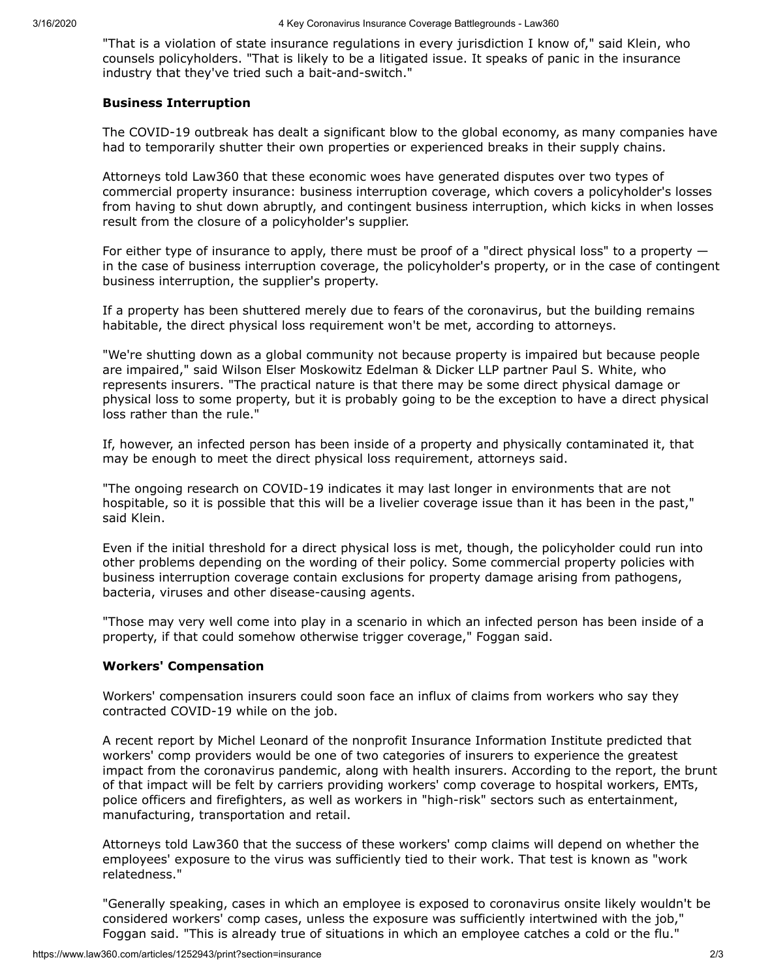"That is a violation of state insurance regulations in every jurisdiction I know of," said Klein, who counsels policyholders. "That is likely to be a litigated issue. It speaks of panic in the insurance industry that they've tried such a bait-and-switch."

#### **Business Interruption**

The COVID-19 outbreak has dealt a significant blow to the global economy, as many companies have had to temporarily shutter their own properties or experienced breaks in their supply chains.

Attorneys told Law360 that these economic woes have generated disputes over two types of commercial property insurance: business interruption coverage, which covers a policyholder's losses from having to shut down abruptly, and contingent business interruption, which kicks in when losses result from the closure of a policyholder's supplier.

For either type of insurance to apply, there must be proof of a "direct physical loss" to a property  $$ in the case of business interruption coverage, the policyholder's property, or in the case of contingent business interruption, the supplier's property.

If a property has been shuttered merely due to fears of the coronavirus, but the building remains habitable, the direct physical loss requirement won't be met, according to attorneys.

"We're shutting down as a global community not because property is impaired but because people are impaired," said [Wilson Elser Moskowitz Edelman & Dicker LLP](https://www.law360.com/firms/wilson-elser) partner Paul S. White, who represents insurers. "The practical nature is that there may be some direct physical damage or physical loss to some property, but it is probably going to be the exception to have a direct physical loss rather than the rule."

If, however, an infected person has been inside of a property and physically contaminated it, that may be enough to meet the direct physical loss requirement, attorneys said.

"The ongoing research on COVID-19 indicates it may last longer in environments that are not hospitable, so it is possible that this will be a livelier coverage issue than it has been in the past," said Klein.

Even if the initial threshold for a direct physical loss is met, though, the policyholder could run into other problems depending on the wording of their policy. Some commercial property policies with business interruption coverage contain exclusions for property damage arising from pathogens, bacteria, viruses and other disease-causing agents.

"Those may very well come into play in a scenario in which an infected person has been inside of a property, if that could somehow otherwise trigger coverage," Foggan said.

## **Workers' Compensation**

Workers' compensation insurers could soon face an influx of claims from workers who say they contracted COVID-19 while on the job.

A recent report by Michel Leonard of the nonprofit Insurance Information Institute predicted that workers' comp providers would be one of two categories of insurers to experience the greatest impact from the coronavirus pandemic, along with health insurers. According to the report, the brunt of that impact will be felt by carriers providing workers' comp coverage to hospital workers, EMTs, police officers and firefighters, as well as workers in "high-risk" sectors such as entertainment, manufacturing, transportation and retail.

Attorneys told Law360 that the success of these workers' comp claims will depend on whether the employees' exposure to the virus was sufficiently tied to their work. That test is known as "work relatedness."

"Generally speaking, cases in which an employee is exposed to coronavirus onsite likely wouldn't be considered workers' comp cases, unless the exposure was sufficiently intertwined with the job," Foggan said. "This is already true of situations in which an employee catches a cold or the flu."